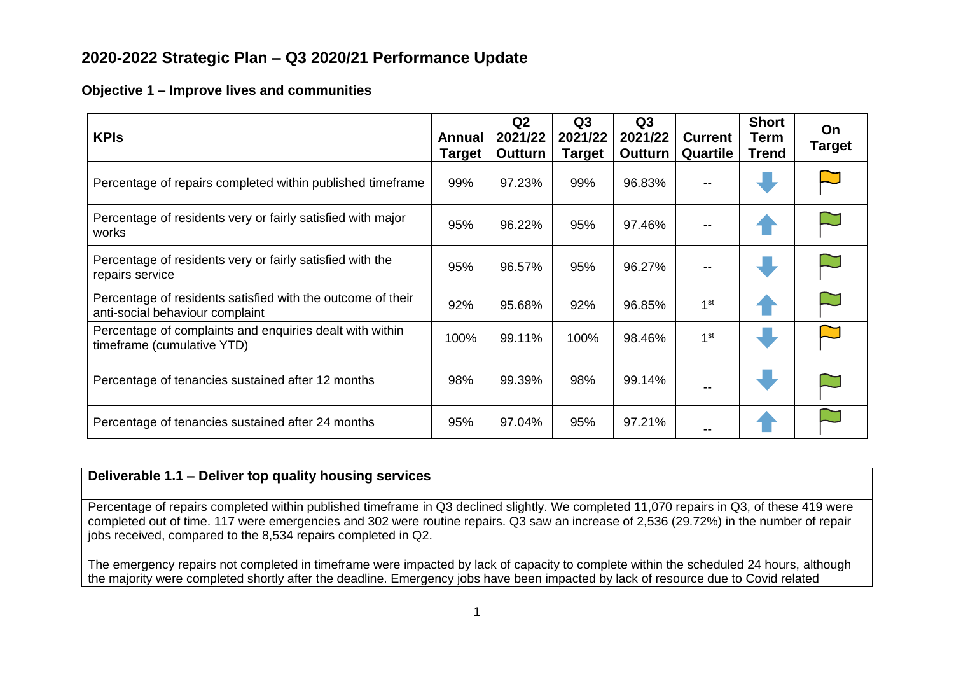# **2020-2022 Strategic Plan – Q3 2020/21 Performance Update**

# **Objective 1 – Improve lives and communities**

| <b>KPIs</b>                                                                                    | <b>Annual</b><br><b>Target</b> | Q <sub>2</sub><br>2021/22<br><b>Outturn</b> | Q3<br>2021/22<br><b>Target</b> | Q3<br>2021/22<br><b>Outturn</b> | <b>Current</b><br>Quartile | <b>Short</b><br><b>Term</b><br><b>Trend</b> | On<br><b>Target</b> |
|------------------------------------------------------------------------------------------------|--------------------------------|---------------------------------------------|--------------------------------|---------------------------------|----------------------------|---------------------------------------------|---------------------|
| Percentage of repairs completed within published timeframe                                     | 99%                            | 97.23%                                      | 99%                            | 96.83%                          |                            |                                             |                     |
| Percentage of residents very or fairly satisfied with major<br>works                           | 95%                            | 96.22%                                      | 95%                            | 97.46%                          | $-$                        |                                             |                     |
| Percentage of residents very or fairly satisfied with the<br>repairs service                   | 95%                            | 96.57%                                      | 95%                            | 96.27%                          | --                         |                                             |                     |
| Percentage of residents satisfied with the outcome of their<br>anti-social behaviour complaint | 92%                            | 95.68%                                      | 92%                            | 96.85%                          | 1 <sup>st</sup>            |                                             |                     |
| Percentage of complaints and enquiries dealt with within<br>timeframe (cumulative YTD)         | 100%                           | 99.11%                                      | 100%                           | 98.46%                          | 1 <sup>st</sup>            |                                             |                     |
| Percentage of tenancies sustained after 12 months                                              | 98%                            | 99.39%                                      | 98%                            | 99.14%                          | $- -$                      |                                             |                     |
| Percentage of tenancies sustained after 24 months                                              | 95%                            | 97.04%                                      | 95%                            | 97.21%                          |                            |                                             |                     |

# **Deliverable 1.1 – Deliver top quality housing services**

Percentage of repairs completed within published timeframe in Q3 declined slightly. We completed 11,070 repairs in Q3, of these 419 were completed out of time. 117 were emergencies and 302 were routine repairs. Q3 saw an increase of 2,536 (29.72%) in the number of repair jobs received, compared to the 8,534 repairs completed in Q2.

The emergency repairs not completed in timeframe were impacted by lack of capacity to complete within the scheduled 24 hours, although the majority were completed shortly after the deadline. Emergency jobs have been impacted by lack of resource due to Covid related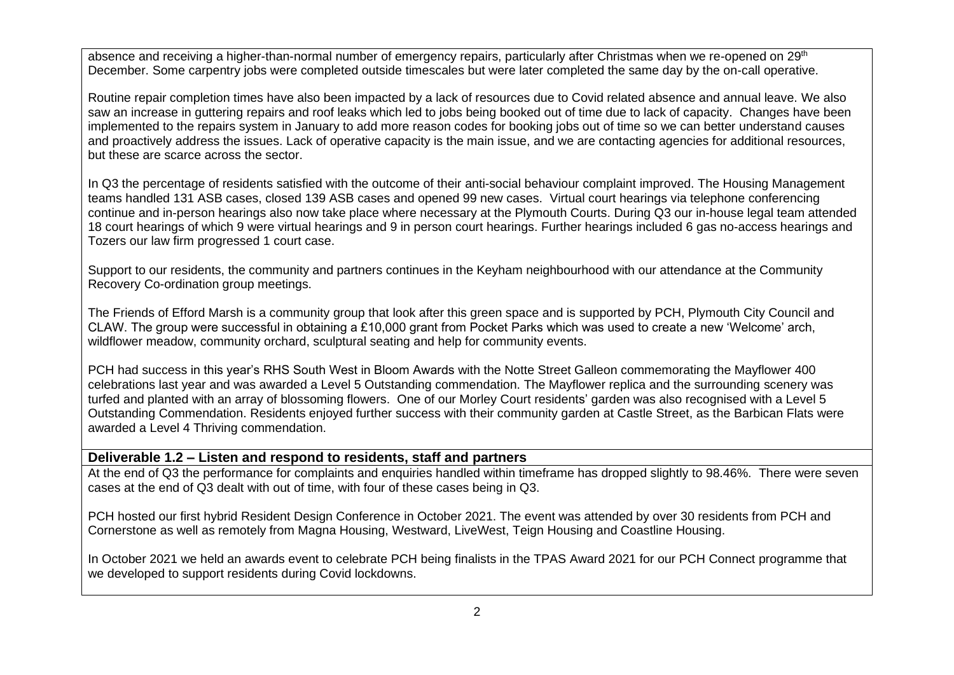absence and receiving a higher-than-normal number of emergency repairs, particularly after Christmas when we re-opened on 29<sup>th</sup> December. Some carpentry jobs were completed outside timescales but were later completed the same day by the on-call operative.

Routine repair completion times have also been impacted by a lack of resources due to Covid related absence and annual leave. We also saw an increase in guttering repairs and roof leaks which led to jobs being booked out of time due to lack of capacity. Changes have been implemented to the repairs system in January to add more reason codes for booking jobs out of time so we can better understand causes and proactively address the issues. Lack of operative capacity is the main issue, and we are contacting agencies for additional resources, but these are scarce across the sector.

In Q3 the percentage of residents satisfied with the outcome of their anti-social behaviour complaint improved. The Housing Management teams handled 131 ASB cases, closed 139 ASB cases and opened 99 new cases. Virtual court hearings via telephone conferencing continue and in-person hearings also now take place where necessary at the Plymouth Courts. During Q3 our in-house legal team attended 18 court hearings of which 9 were virtual hearings and 9 in person court hearings. Further hearings included 6 gas no-access hearings and Tozers our law firm progressed 1 court case.

Support to our residents, the community and partners continues in the Keyham neighbourhood with our attendance at the Community Recovery Co-ordination group meetings.

The Friends of Efford Marsh is a community group that look after this green space and is supported by PCH, Plymouth City Council and CLAW. The group were successful in obtaining a £10,000 grant from Pocket Parks which was used to create a new 'Welcome' arch, wildflower meadow, community orchard, sculptural seating and help for community events.

PCH had success in this year's RHS South West in Bloom Awards with the Notte Street Galleon commemorating the Mayflower 400 celebrations last year and was awarded a Level 5 Outstanding commendation. The Mayflower replica and the surrounding scenery was turfed and planted with an array of blossoming flowers. One of our Morley Court residents' garden was also recognised with a Level 5 Outstanding Commendation. Residents enjoyed further success with their community garden at Castle Street, as the Barbican Flats were awarded a Level 4 Thriving commendation.

#### **Deliverable 1.2 – Listen and respond to residents, staff and partners**

At the end of Q3 the performance for complaints and enquiries handled within timeframe has dropped slightly to 98.46%. There were seven cases at the end of Q3 dealt with out of time, with four of these cases being in Q3.

PCH hosted our first hybrid Resident Design Conference in October 2021. The event was attended by over 30 residents from PCH and Cornerstone as well as remotely from Magna Housing, Westward, LiveWest, Teign Housing and Coastline Housing.

In October 2021 we held an awards event to celebrate PCH being finalists in the TPAS Award 2021 for our PCH Connect programme that we developed to support residents during Covid lockdowns.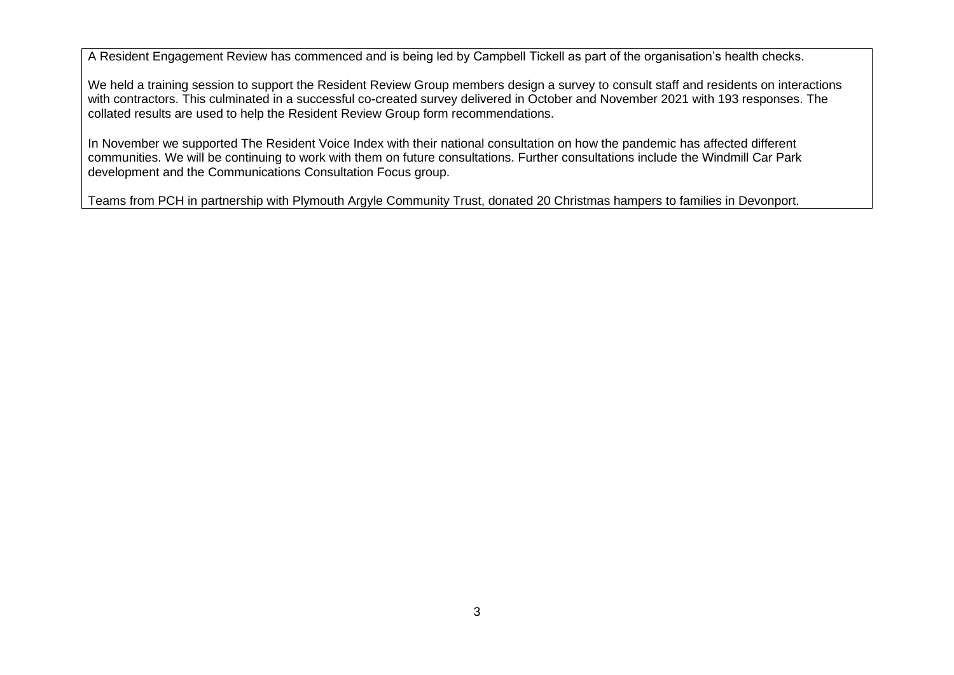A Resident Engagement Review has commenced and is being led by Campbell Tickell as part of the organisation's health checks.

We held a training session to support the Resident Review Group members design a survey to consult staff and residents on interactions with contractors. This culminated in a successful co-created survey delivered in October and November 2021 with 193 responses. The collated results are used to help the Resident Review Group form recommendations.

In November we supported The Resident Voice Index with their national consultation on how the pandemic has affected different communities. We will be continuing to work with them on future consultations. Further consultations include the Windmill Car Park development and the Communications Consultation Focus group.

Teams from PCH in partnership with Plymouth Argyle Community Trust, donated 20 Christmas hampers to families in Devonport.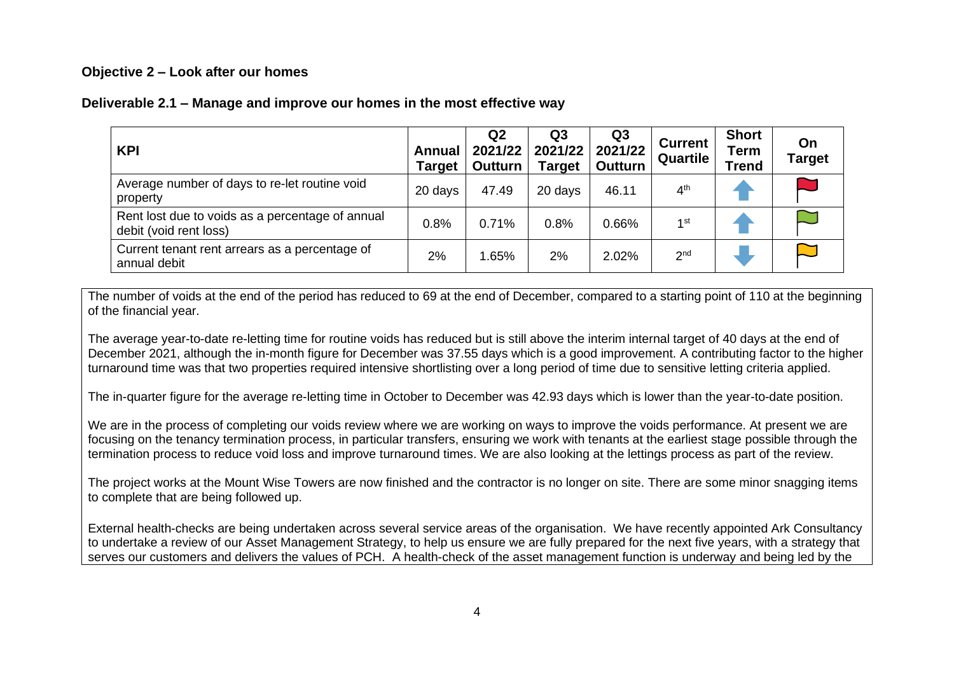#### **Objective 2 – Look after our homes**

| Deliverable 2.1 – Manage and improve our homes in the most effective way |  |
|--------------------------------------------------------------------------|--|
|--------------------------------------------------------------------------|--|

| <b>KPI</b>                                                                 | Annual<br><b>Target</b> | Q <sub>2</sub><br>2021/22<br>Outturn | Q <sub>3</sub><br>2021/22<br><b>Target</b> | Q <sub>3</sub><br>2021/22<br><b>Outturn</b> | <b>Current</b><br>Quartile | <b>Short</b><br>Term<br><b>Trend</b> | On<br><b>Target</b> |
|----------------------------------------------------------------------------|-------------------------|--------------------------------------|--------------------------------------------|---------------------------------------------|----------------------------|--------------------------------------|---------------------|
| Average number of days to re-let routine void<br>property                  | 20 days                 | 47.49                                | 20 days                                    | 46.11                                       | 4 <sup>th</sup>            |                                      |                     |
| Rent lost due to voids as a percentage of annual<br>debit (void rent loss) | 0.8%                    | 0.71%                                | 0.8%                                       | 0.66%                                       | $1$ st                     |                                      |                     |
| Current tenant rent arrears as a percentage of<br>annual debit             | 2%                      | .65%                                 | 2%                                         | 2.02%                                       | 2 <sub>nd</sub>            |                                      |                     |

The number of voids at the end of the period has reduced to 69 at the end of December, compared to a starting point of 110 at the beginning of the financial year.

The average year-to-date re-letting time for routine voids has reduced but is still above the interim internal target of 40 days at the end of December 2021, although the in-month figure for December was 37.55 days which is a good improvement. A contributing factor to the higher turnaround time was that two properties required intensive shortlisting over a long period of time due to sensitive letting criteria applied.

The in-quarter figure for the average re-letting time in October to December was 42.93 days which is lower than the year-to-date position.

We are in the process of completing our voids review where we are working on ways to improve the voids performance. At present we are focusing on the tenancy termination process, in particular transfers, ensuring we work with tenants at the earliest stage possible through the termination process to reduce void loss and improve turnaround times. We are also looking at the lettings process as part of the review.

The project works at the Mount Wise Towers are now finished and the contractor is no longer on site. There are some minor snagging items to complete that are being followed up.

External health-checks are being undertaken across several service areas of the organisation. We have recently appointed Ark Consultancy to undertake a review of our Asset Management Strategy, to help us ensure we are fully prepared for the next five years, with a strategy that serves our customers and delivers the values of PCH. A health-check of the asset management function is underway and being led by the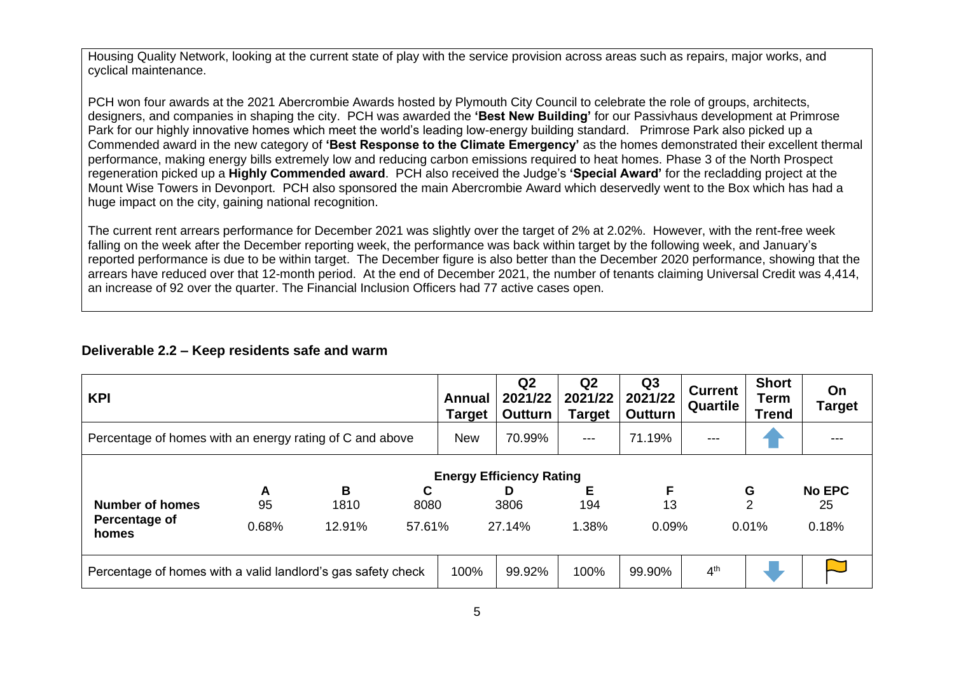Housing Quality Network, looking at the current state of play with the service provision across areas such as repairs, major works, and cyclical maintenance.

PCH won four awards at the 2021 Abercrombie Awards hosted by Plymouth City Council to celebrate the role of groups, architects, designers, and companies in shaping the city. PCH was awarded the **'Best New Building'** for our Passivhaus development at Primrose Park for our highly innovative homes which meet the world's leading low-energy building standard. Primrose Park also picked up a Commended award in the new category of **'Best Response to the Climate Emergency'** as the homes demonstrated their excellent thermal performance, making energy bills extremely low and reducing carbon emissions required to heat homes. Phase 3 of the North Prospect regeneration picked up a **Highly Commended award**. PCH also received the Judge's **'Special Award'** for the recladding project at the Mount Wise Towers in Devonport. PCH also sponsored the main Abercrombie Award which deservedly went to the Box which has had a huge impact on the city, gaining national recognition.

The current rent arrears performance for December 2021 was slightly over the target of 2% at 2.02%. However, with the rent-free week falling on the week after the December reporting week, the performance was back within target by the following week, and January's reported performance is due to be within target. The December figure is also better than the December 2020 performance, showing that the arrears have reduced over that 12-month period. At the end of December 2021, the number of tenants claiming Universal Credit was 4,414, an increase of 92 over the quarter. The Financial Inclusion Officers had 77 active cases open.

#### **Deliverable 2.2 – Keep residents safe and warm**

| <b>KPI</b>                                                   |                    |           |                     | <b>Annual</b><br>Target | Q <sub>2</sub><br>2021/22<br><b>Outturn</b> | Q2<br>2021/22<br><b>Target</b> | Q <sub>3</sub><br>2021/22<br><b>Outturn</b> | <b>Current</b><br>Quartile | <b>Short</b><br>Term<br>Trend | On<br>Target        |
|--------------------------------------------------------------|--------------------|-----------|---------------------|-------------------------|---------------------------------------------|--------------------------------|---------------------------------------------|----------------------------|-------------------------------|---------------------|
| Percentage of homes with an energy rating of C and above     |                    |           |                     | <b>New</b>              | 70.99%                                      | $\qquad \qquad -$              | 71.19%                                      | $- - -$                    |                               |                     |
| <b>Energy Efficiency Rating</b>                              |                    |           |                     |                         |                                             |                                |                                             |                            |                               |                     |
| <b>Number of homes</b>                                       | $\mathsf{A}$<br>95 | B<br>1810 | $\mathbf c$<br>8080 |                         | D<br>3806                                   | Е<br>194                       | F<br>13                                     |                            | G<br>$\overline{2}$           | <b>No EPC</b><br>25 |
| Percentage of<br>homes                                       | 0.68%              | 12.91%    | 57.61%              |                         | 27.14%                                      | 1.38%                          | 0.09%                                       |                            | 0.01%                         | 0.18%               |
| Percentage of homes with a valid landlord's gas safety check |                    |           |                     | 100%                    | 99.92%                                      | 100%                           | 99.90%                                      | 4 <sup>th</sup>            |                               |                     |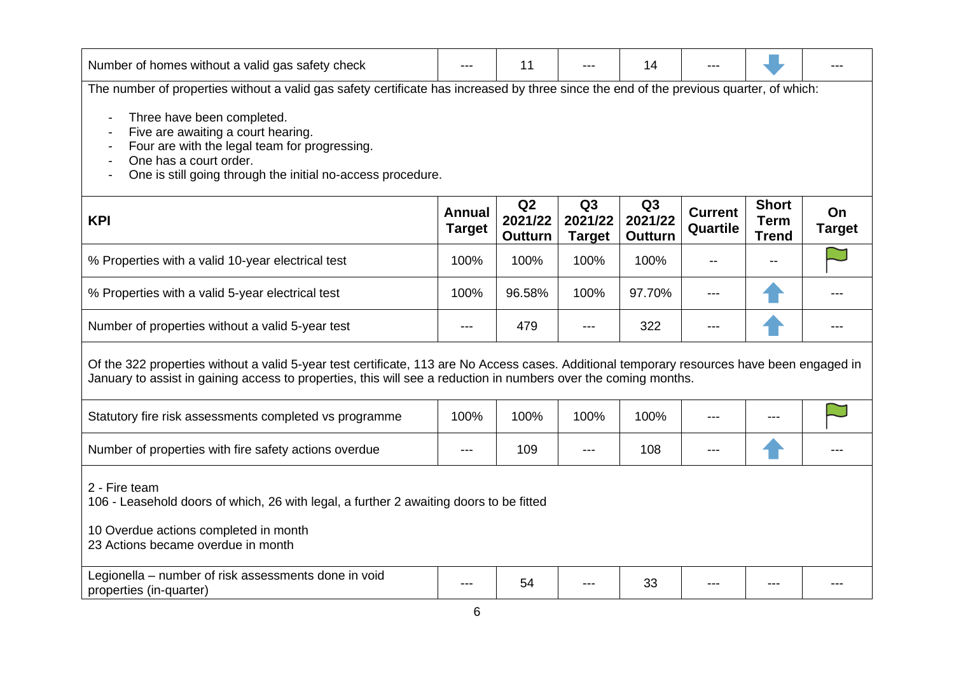| Number of homes without a valid gas safety check                                                                                                                                                                                                                                                                                                      |                                | 11                              |                                | 14                              |                            |                                             |                     |  |  |  |
|-------------------------------------------------------------------------------------------------------------------------------------------------------------------------------------------------------------------------------------------------------------------------------------------------------------------------------------------------------|--------------------------------|---------------------------------|--------------------------------|---------------------------------|----------------------------|---------------------------------------------|---------------------|--|--|--|
| The number of properties without a valid gas safety certificate has increased by three since the end of the previous quarter, of which:<br>Three have been completed.<br>Five are awaiting a court hearing.<br>Four are with the legal team for progressing.<br>One has a court order.<br>One is still going through the initial no-access procedure. |                                |                                 |                                |                                 |                            |                                             |                     |  |  |  |
| <b>KPI</b>                                                                                                                                                                                                                                                                                                                                            | <b>Annual</b><br><b>Target</b> | Q2<br>2021/22<br><b>Outturn</b> | Q3<br>2021/22<br><b>Target</b> | Q3<br>2021/22<br><b>Outturn</b> | <b>Current</b><br>Quartile | <b>Short</b><br><b>Term</b><br><b>Trend</b> | On<br><b>Target</b> |  |  |  |
| % Properties with a valid 10-year electrical test                                                                                                                                                                                                                                                                                                     | 100%                           | 100%                            | 100%                           | 100%                            |                            |                                             |                     |  |  |  |
| % Properties with a valid 5-year electrical test                                                                                                                                                                                                                                                                                                      | 100%                           | 96.58%                          | 100%                           | 97.70%                          | $- - -$                    |                                             |                     |  |  |  |
| Number of properties without a valid 5-year test<br>322<br>479<br>---<br>$---$<br>---                                                                                                                                                                                                                                                                 |                                |                                 |                                |                                 |                            |                                             |                     |  |  |  |
| Of the 322 properties without a valid 5-year test certificate, 113 are No Access cases. Additional temporary resources have been engaged in<br>January to assist in gaining access to properties, this will see a reduction in numbers over the coming months.                                                                                        |                                |                                 |                                |                                 |                            |                                             |                     |  |  |  |
| Statutory fire risk assessments completed vs programme                                                                                                                                                                                                                                                                                                | 100%                           | 100%                            | 100%                           | 100%                            |                            |                                             |                     |  |  |  |
| Number of properties with fire safety actions overdue                                                                                                                                                                                                                                                                                                 | ---                            | 109                             |                                | 108                             |                            |                                             |                     |  |  |  |
| 2 - Fire team<br>106 - Leasehold doors of which, 26 with legal, a further 2 awaiting doors to be fitted<br>10 Overdue actions completed in month<br>23 Actions became overdue in month                                                                                                                                                                |                                |                                 |                                |                                 |                            |                                             |                     |  |  |  |
| Legionella – number of risk assessments done in void<br>properties (in-quarter)                                                                                                                                                                                                                                                                       | ---                            | 54                              |                                | 33                              |                            | ---                                         |                     |  |  |  |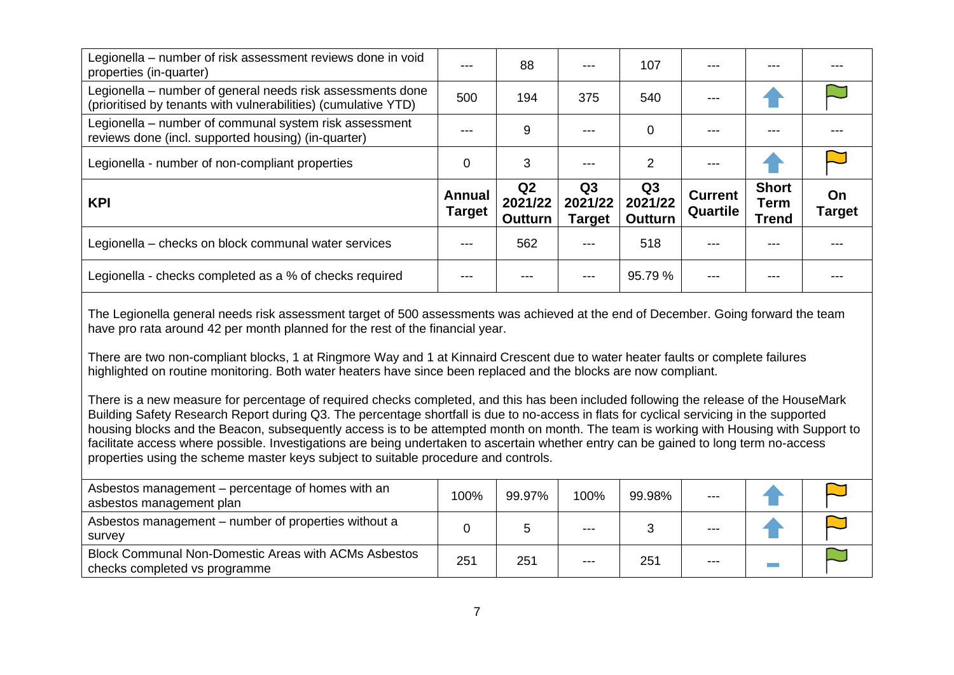| Legionella – number of risk assessment reviews done in void<br>properties (in-quarter)                                       |                                | 88                                          |                                            | 107                             |                            |                                      |                     |
|------------------------------------------------------------------------------------------------------------------------------|--------------------------------|---------------------------------------------|--------------------------------------------|---------------------------------|----------------------------|--------------------------------------|---------------------|
| Legionella – number of general needs risk assessments done<br>(prioritised by tenants with vulnerabilities) (cumulative YTD) | 500                            | 194                                         | 375                                        | 540                             |                            |                                      |                     |
| Legionella – number of communal system risk assessment<br>reviews done (incl. supported housing) (in-quarter)                |                                | 9                                           |                                            | 0                               |                            |                                      |                     |
| Legionella - number of non-compliant properties                                                                              | $\mathbf 0$                    | 3                                           |                                            | 2                               |                            |                                      |                     |
|                                                                                                                              |                                |                                             |                                            |                                 |                            |                                      |                     |
| <b>KPI</b>                                                                                                                   | <b>Annual</b><br><b>Target</b> | Q <sub>2</sub><br>2021/22<br><b>Outturn</b> | Q <sub>3</sub><br>2021/22<br><b>Target</b> | Q3<br>2021/22<br><b>Outturn</b> | <b>Current</b><br>Quartile | <b>Short</b><br>Term<br><b>Trend</b> | On<br><b>Target</b> |
| Legionella – checks on block communal water services                                                                         |                                | 562                                         |                                            | 518                             |                            | ---                                  |                     |

The Legionella general needs risk assessment target of 500 assessments was achieved at the end of December. Going forward the team have pro rata around 42 per month planned for the rest of the financial year.

There are two non-compliant blocks, 1 at Ringmore Way and 1 at Kinnaird Crescent due to water heater faults or complete failures highlighted on routine monitoring. Both water heaters have since been replaced and the blocks are now compliant.

There is a new measure for percentage of required checks completed, and this has been included following the release of the HouseMark Building Safety Research Report during Q3. The percentage shortfall is due to no-access in flats for cyclical servicing in the supported housing blocks and the Beacon, subsequently access is to be attempted month on month. The team is working with Housing with Support to facilitate access where possible. Investigations are being undertaken to ascertain whether entry can be gained to long term no-access properties using the scheme master keys subject to suitable procedure and controls.

| Asbestos management – percentage of homes with an<br>asbestos management plan                | 100% | 99.97% | 100%    | 99.98% | $---$   |  |
|----------------------------------------------------------------------------------------------|------|--------|---------|--------|---------|--|
| Asbestos management – number of properties without a<br>survey                               |      |        | ---     |        | $- - -$ |  |
| <b>Block Communal Non-Domestic Areas with ACMs Asbestos</b><br>checks completed vs programme | 251  | 251    | $- - -$ | 251    | $--$    |  |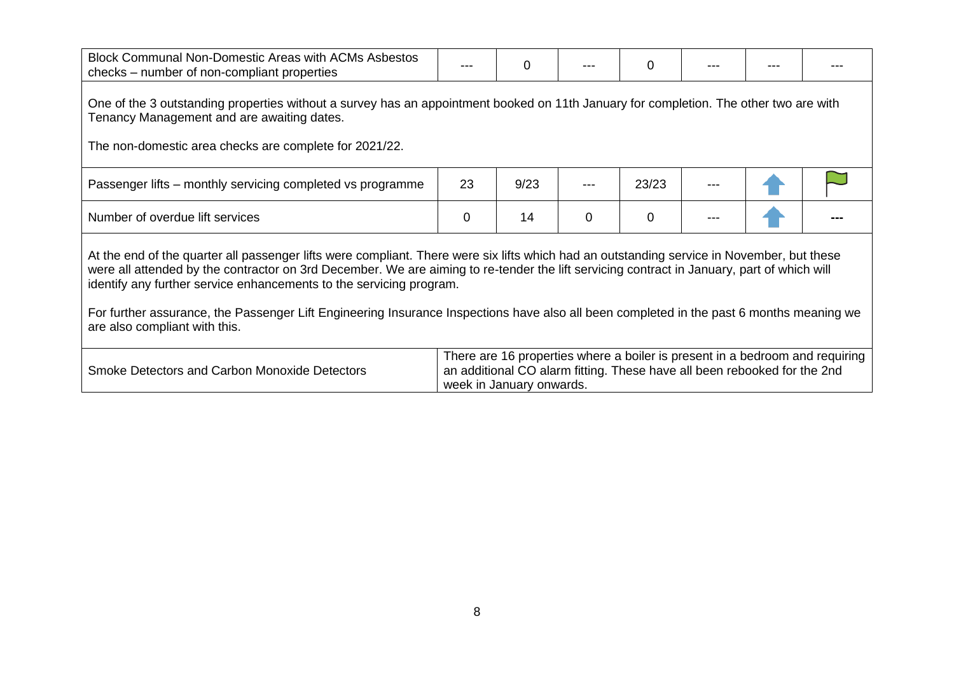| <b>Block Communal Non-Domestic Areas with ACMs Asbestos</b><br>checks – number of non-compliant properties                                                                                                                                                                                                                                                                                                                                                                                                                                   |    | 0    |          | 0     |  |  |  |  |  |  |
|----------------------------------------------------------------------------------------------------------------------------------------------------------------------------------------------------------------------------------------------------------------------------------------------------------------------------------------------------------------------------------------------------------------------------------------------------------------------------------------------------------------------------------------------|----|------|----------|-------|--|--|--|--|--|--|
| One of the 3 outstanding properties without a survey has an appointment booked on 11th January for completion. The other two are with<br>Tenancy Management and are awaiting dates.<br>The non-domestic area checks are complete for 2021/22.                                                                                                                                                                                                                                                                                                |    |      |          |       |  |  |  |  |  |  |
| Passenger lifts – monthly servicing completed vs programme                                                                                                                                                                                                                                                                                                                                                                                                                                                                                   | 23 | 9/23 |          | 23/23 |  |  |  |  |  |  |
| Number of overdue lift services                                                                                                                                                                                                                                                                                                                                                                                                                                                                                                              | 0  | 14   | $\Omega$ | 0     |  |  |  |  |  |  |
| At the end of the quarter all passenger lifts were compliant. There were six lifts which had an outstanding service in November, but these<br>were all attended by the contractor on 3rd December. We are aiming to re-tender the lift servicing contract in January, part of which will<br>identify any further service enhancements to the servicing program.<br>For further assurance, the Passenger Lift Engineering Insurance Inspections have also all been completed in the past 6 months meaning we<br>are also compliant with this. |    |      |          |       |  |  |  |  |  |  |
| There are 16 properties where a boiler is present in a bedroom and requiring<br>an additional CO alarm fitting. These have all been rebooked for the 2nd<br>Smoke Detectors and Carbon Monoxide Detectors<br>week in January onwards.                                                                                                                                                                                                                                                                                                        |    |      |          |       |  |  |  |  |  |  |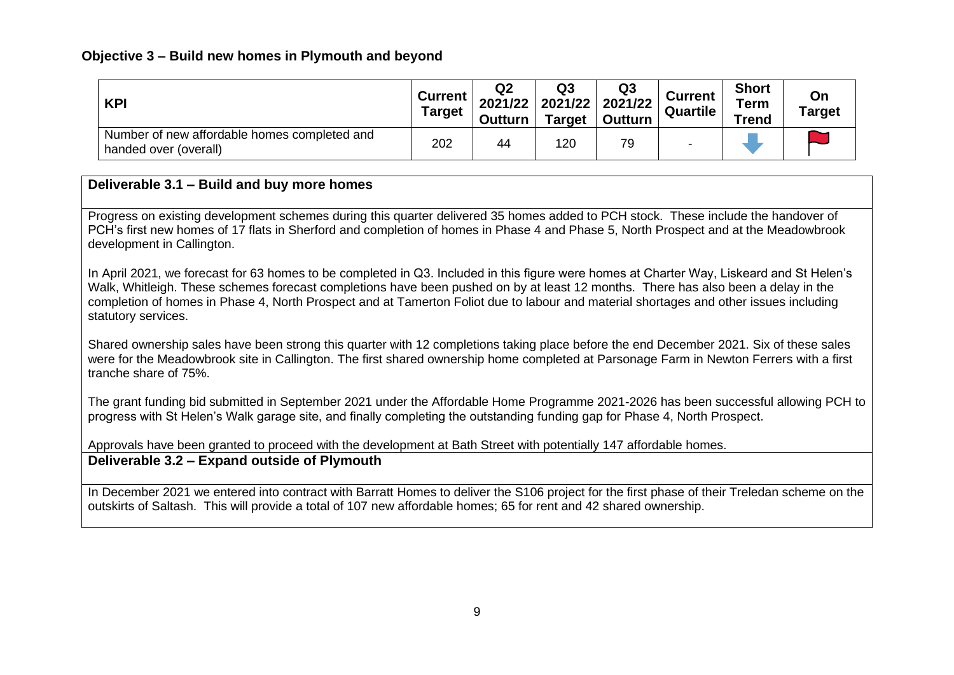### **Objective 3 – Build new homes in Plymouth and beyond**

| <b>KPI</b>                                                            | Current  <br><b>Target</b> | Q2<br>2021/22<br><b>Outturn</b> | Q3<br>2021/22<br><b>Target</b> | Q3<br>2021/22<br><b>Outturn</b> | <b>Current</b><br>Quartile | <b>Short</b><br><b>Term</b><br><b>Trend</b> | On<br><b>Target</b> |
|-----------------------------------------------------------------------|----------------------------|---------------------------------|--------------------------------|---------------------------------|----------------------------|---------------------------------------------|---------------------|
| Number of new affordable homes completed and<br>handed over (overall) | 202                        | 44                              | 120                            | 79                              |                            |                                             |                     |

# **Deliverable 3.1 – Build and buy more homes**

Progress on existing development schemes during this quarter delivered 35 homes added to PCH stock. These include the handover of PCH's first new homes of 17 flats in Sherford and completion of homes in Phase 4 and Phase 5, North Prospect and at the Meadowbrook development in Callington.

In April 2021, we forecast for 63 homes to be completed in Q3. Included in this figure were homes at Charter Way, Liskeard and St Helen's Walk, Whitleigh. These schemes forecast completions have been pushed on by at least 12 months. There has also been a delay in the completion of homes in Phase 4, North Prospect and at Tamerton Foliot due to labour and material shortages and other issues including statutory services.

Shared ownership sales have been strong this quarter with 12 completions taking place before the end December 2021. Six of these sales were for the Meadowbrook site in Callington. The first shared ownership home completed at Parsonage Farm in Newton Ferrers with a first tranche share of 75%.

The grant funding bid submitted in September 2021 under the Affordable Home Programme 2021-2026 has been successful allowing PCH to progress with St Helen's Walk garage site, and finally completing the outstanding funding gap for Phase 4, North Prospect.

Approvals have been granted to proceed with the development at Bath Street with potentially 147 affordable homes.

# **Deliverable 3.2 – Expand outside of Plymouth**

In December 2021 we entered into contract with Barratt Homes to deliver the S106 project for the first phase of their Treledan scheme on the outskirts of Saltash. This will provide a total of 107 new affordable homes; 65 for rent and 42 shared ownership.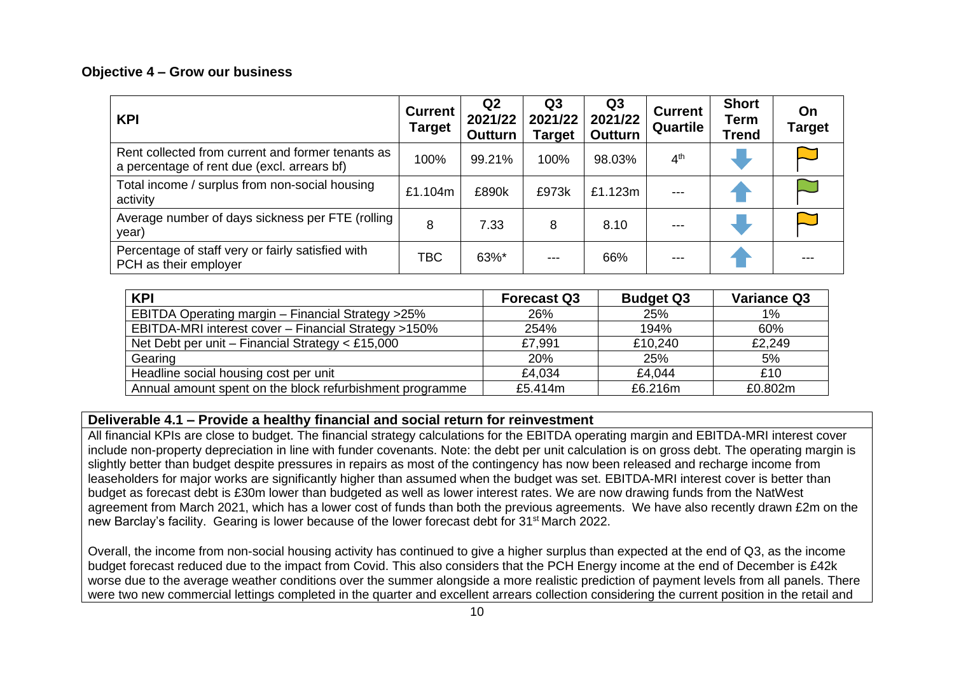#### **Objective 4 – Grow our business**

| <b>KPI</b>                                                                                       | <b>Current</b><br>Target | Q <sub>2</sub><br>2021/22<br><b>Outturn</b> | Q <sub>3</sub><br>2021/22<br><b>Target</b> | Q <sub>3</sub><br>2021/22<br><b>Outturn</b> | <b>Current</b><br>Quartile | <b>Short</b><br>Term<br><b>Trend</b> | On<br><b>Target</b> |
|--------------------------------------------------------------------------------------------------|--------------------------|---------------------------------------------|--------------------------------------------|---------------------------------------------|----------------------------|--------------------------------------|---------------------|
| Rent collected from current and former tenants as<br>a percentage of rent due (excl. arrears bf) | 100%                     | 99.21%                                      | 100%                                       | 98.03%                                      | 4 <sup>th</sup>            |                                      |                     |
| Total income / surplus from non-social housing<br>activity                                       | £1.104m                  | £890k                                       | £973k                                      | £1.123m                                     |                            |                                      |                     |
| Average number of days sickness per FTE (rolling<br>year)                                        | 8                        | 7.33                                        | 8                                          | 8.10                                        |                            |                                      |                     |
| Percentage of staff very or fairly satisfied with<br>PCH as their employer                       | <b>TBC</b>               | 63%*                                        | ---                                        | 66%                                         | $- - -$                    |                                      |                     |

| <b>KPI</b>                                               | <b>Forecast Q3</b> | <b>Budget Q3</b> | <b>Variance Q3</b> |
|----------------------------------------------------------|--------------------|------------------|--------------------|
| EBITDA Operating margin - Financial Strategy >25%        | 26%                | 25%              | 1%                 |
| EBITDA-MRI interest cover - Financial Strategy >150%     | 254%               | 194%             | 60%                |
| Net Debt per unit - Financial Strategy $<$ £15,000       | £7,991             | £10,240          | £2,249             |
| Gearing                                                  | 20%                | 25%              | 5%                 |
| Headline social housing cost per unit                    | £4.034             | £4.044           | £10                |
| Annual amount spent on the block refurbishment programme | £5.414m            | £6.216m          | £0.802m            |

# **Deliverable 4.1 – Provide a healthy financial and social return for reinvestment**

All financial KPIs are close to budget. The financial strategy calculations for the EBITDA operating margin and EBITDA-MRI interest cover include non-property depreciation in line with funder covenants. Note: the debt per unit calculation is on gross debt. The operating margin is slightly better than budget despite pressures in repairs as most of the contingency has now been released and recharge income from leaseholders for major works are significantly higher than assumed when the budget was set. EBITDA-MRI interest cover is better than budget as forecast debt is £30m lower than budgeted as well as lower interest rates. We are now drawing funds from the NatWest agreement from March 2021, which has a lower cost of funds than both the previous agreements. We have also recently drawn £2m on the new Barclay's facility. Gearing is lower because of the lower forecast debt for 31st March 2022.

Overall, the income from non-social housing activity has continued to give a higher surplus than expected at the end of Q3, as the income budget forecast reduced due to the impact from Covid. This also considers that the PCH Energy income at the end of December is £42k worse due to the average weather conditions over the summer alongside a more realistic prediction of payment levels from all panels. There were two new commercial lettings completed in the quarter and excellent arrears collection considering the current position in the retail and